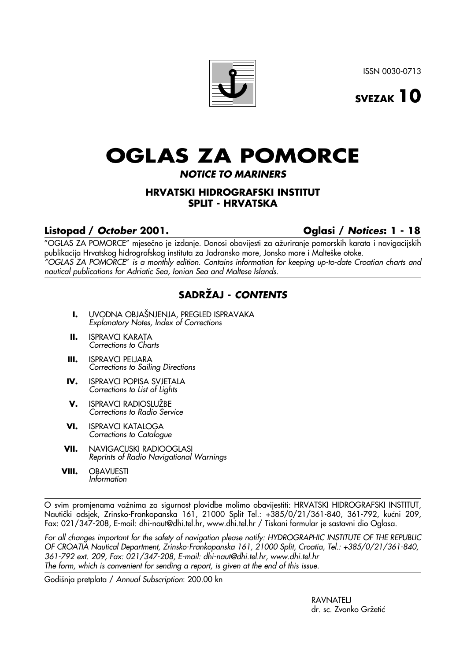ISSN 0030-0713



# **OGLAS ZA POMORCE**

## **NOTICE TO MARINERS**

## **HRVATSKI HIDROGRAFSKI INSTITUT SPLIT - HRVATSKA**

## **Listopad / October 2001. Oglasi / Notices: 1 - 18**

"OGLAS ZA POMORCE" mjeseËno je izdanje. Donosi obavijesti za aæuriranje pomorskih karata i navigacijskih publikacija Hrvatskog hidrografskog instituta za Jadransko more, Jonsko more i Malteške otoke. "OGLAS ZA POMORCE" is a monthly edition. Contains information for keeping up-to-date Croatian charts and nautical publications for Adriatic Sea, Ionian Sea and Maltese Islands.

## **SADRÆAJ - CONTENTS**

- **I.** UVODNA OBJAŠNJENJA, PREGLED ISPRAVAKA Explanatory Notes, Index of Corrections
- **II.** ISPRAVCI KARATA Corrections to Charts
- **III.** ISPRAVCI PELJARA Corrections to Sailing Directions
- **IV.** ISPRAVCI POPISA SVJETALA Corrections to List of Lights
- **V.** ISPRAVCI RADIOSLUŽBE Corrections to Radio Service
- **VI.** ISPRAVCI KATALOGA Corrections to Catalogue
- **VII.** NAVIGACIJSKI RADIOOGLASI Reprints of Radio Navigational Warnings
- **VIII.** OBAVIJESTI Information

O svim promjenama važnima za sigurnost plovidbe molimo obavijestiti: HRVATSKI HIDROGRAFSKI INSTITUT, Nautički odsjek, Zrinsko-Frankopanska 161, 21000 Split Tel.: +385/0/21/361-840, 361-792, kućni 209, Fax: 021/347-208, E-mail: dhi-naut@dhi.tel.hr, www.dhi.tel.hr / Tiskani formular je sastavni dio Oglasa.

For all changes important for the safety of navigation please notify: HYDROGRAPHIC INSTITUTE OF THE REPUBLIC OF CROATIA Nautical Department, Zrinsko-Frankopanska 161, 21000 Split, Croatia, Tel.: +385/0/21/361-840, 361-792 ext. 209, Fax: 021/347-208, E-mail: dhi-naut@dhi.tel.hr, www.dhi.tel.hr The form, which is convenient for sending a report, is given at the end of this issue.

Godišnja pretplata / Annual Subscription: 200.00 kn

**RAVNATELJ** dr. sc. Zvonko Gržetić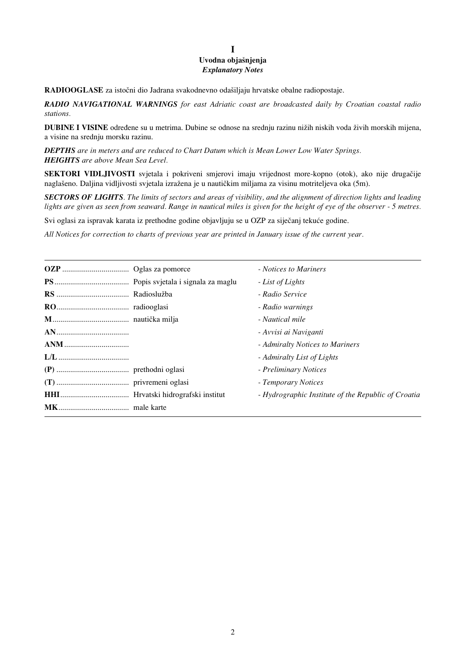## **I** Uvodna objašnjenja *Explanatory Notes*

**RADIOOGLASE** za istočni dio Jadrana svakodnevno odašiljaju hrvatske obalne radiopostaje.

*RADIO NAVIGATIONAL WARNINGS for east Adriatic coast are broadcasted daily by Croatian coastal radio stations.*

**DUBINE I VISINE** određene su u metrima. Dubine se odnose na srednju razinu nižih niskih voda živih morskih mijena, a visine na srednju morsku razinu.

*DEPTHS are in meters and are reduced to Chart Datum which is Mean Lower Low Water Springs. HEIGHTS are above Mean Sea Level.*

**SEKTORI VIDLJIVOSTI** svjetala i pokriveni smjerovi imaju vrijednost more-kopno (otok), ako nije drugaËije naglašeno. Daljina vidljivosti svjetala izražena je u nautičkim miljama za visinu motriteljeva oka (5m).

*SECTORS OF LIGHTS. The limits of sectors and areas of visibility, and the alignment of direction lights and leading lights are given as seen from seaward. Range in nautical miles is given for the height of eye of the observer - 5 metres.* 

Svi oglasi za ispravak karata iz prethodne godine objavljuju se u OZP za siječanj tekuće godine.

*All Notices for correction to charts of previous year are printed in January issue of the current year.*

|  | - Notices to Mariners                               |
|--|-----------------------------------------------------|
|  | - List of Lights                                    |
|  | - Radio Service                                     |
|  | - Radio warnings                                    |
|  | - Nautical mile                                     |
|  | - Avvisi ai Naviganti                               |
|  | - Admiralty Notices to Mariners                     |
|  | - Admiralty List of Lights                          |
|  | - Preliminary Notices                               |
|  | - Temporary Notices                                 |
|  | - Hydrographic Institute of the Republic of Croatia |
|  |                                                     |
|  |                                                     |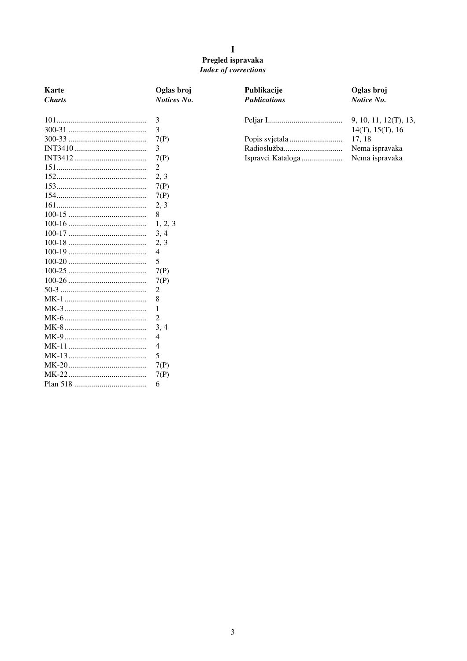## $\mathbf I$ Pregled ispravaka Index of corrections

| Karte         | Oglas broj  | Publikacije         | Oglas broj            |
|---------------|-------------|---------------------|-----------------------|
| <b>Charts</b> | Notices No. | <b>Publications</b> | Notice No.            |
|               |             |                     |                       |
|               | 3           |                     | 9, 10, 11, 12(T), 13, |
|               | 3           |                     | 14(T), 15(T), 16      |
|               | 7(P)        |                     | 17, 18                |
|               | 3           |                     | Nema ispravaka        |
|               | 7(P)        | Ispravci Kataloga   | Nema ispravaka        |
|               | 2           |                     |                       |
|               | 2, 3        |                     |                       |
|               | 7(P)        |                     |                       |
|               | 7(P)        |                     |                       |
|               | 2, 3        |                     |                       |
|               | 8           |                     |                       |
|               | 1, 2, 3     |                     |                       |
|               | 3, 4        |                     |                       |
|               | 2, 3        |                     |                       |
|               | 4           |                     |                       |
|               | 5           |                     |                       |
|               | 7(P)        |                     |                       |
|               | 7(P)        |                     |                       |
|               | 2           |                     |                       |
|               | 8           |                     |                       |
|               | 1           |                     |                       |
|               | 2           |                     |                       |
|               | 3, 4        |                     |                       |
|               | 4           |                     |                       |
|               | 4           |                     |                       |
|               | 5           |                     |                       |
|               | 7(P)        |                     |                       |
|               | 7(P)        |                     |                       |
|               | 6           |                     |                       |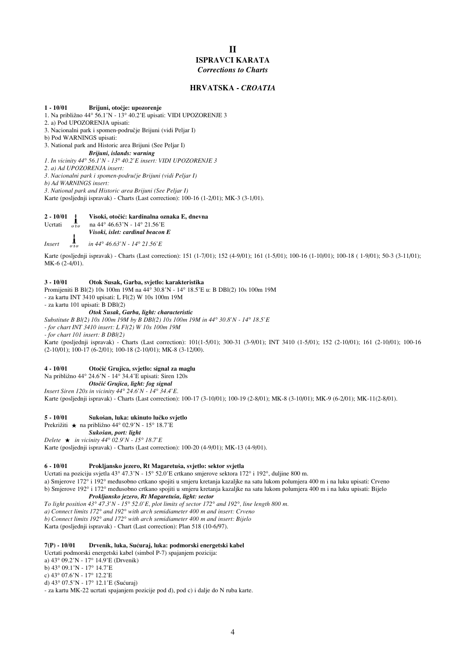## **II ISPRAVCI KARATA** *Corrections to Charts*

#### **HRVATSKA** *- CROATIA*

#### **1 - 10/01 Brijuni, otoËje: upozorenje**

- 1. Na pribliæno 44° 56.1'N 13° 40.2'E upisati: VIDI UPOZORENJE 3
- 2. a) Pod UPOZORENJA upisati:
- 3. Nacionalni park i spomen-podruËje Brijuni (vidi Peljar I)
- b) Pod WARNINGS upisati:
- 3. National park and Historic area Brijuni (See Peljar I)
- *Brijuni, islands: warning 1. In vicinity 44° 56.1'N - 13° 40.2'E insert: VIDI UPOZORENJE 3*
- *2. a) Ad UPOZORENJA insert:*
- *3. Nacionalni park i spomen-podruËje Brijuni (vidi Peljar I)*
- *b) Ad WARNINGS insert:*
- *3. National park and Historic area Brijuni (See Peljar I)*

Karte (posljednji ispravak) - Charts (Last correction): 100-16 (1-2/01); MK-3 (3-1/01).

## **2 - 10/01 i visoki, otočić: kardinalna oznaka E, dnevna**<br>Ucrtati **a**  $\lim_{\alpha \to \alpha} 44^{\circ} 46.63$ 'N - 14° 21.56'E

- na 44° 46.63'N 14° 21.56'E
- *Visoki, islet: cardinal beacon E*

*Insert in 44° 46.63'N - 14° 21.56'E*

Karte (posljednji ispravak) - Charts (Last correction): 151 (1-7/01); 152 (4-9/01); 161 (1-5/01); 100-16 (1-10/01); 100-18 ( 1-9/01); 50-3 (3-11/01); MK-6 (2-4/01).

#### **3 - 10/01 Otok Susak, Garba, svjetlo: karakteristika**

Promijeniti B Bl(2) 10s 100m 19M na 44° 30.8'N - 14° 18.5'E u: B DBl(2) 10s 100m 19M - za kartu INT 3410 upisati: L Fl(2) W 10s 100m 19M

- za kartu 101 upisati: B DBl(2)

#### *Otok Susak, Garba, light: characteristic*

*Substitute B Bl(2) 10s 100m 19M by B DBl(2) 10s 100m 19M in 44° 30.8'N - 14° 18.5'E - for chart INT 3410 insert: L Fl(2) W 10s 100m 19M - for chart 101 insert: B DBl(2)* Karte (posljednji ispravak) - Charts (Last correction): 101(1-5/01); 300-31 (3-9/01); INT 3410 (1-5/01); 152 (2-10/01); 161 (2-10/01); 100-16 (2-10/01); 100-17 (6-2/01); 100-18 (2-10/01); MK-8 (3-12/00).

#### **4 - 10/01 OtoËiÊ Grujica, svjetlo: signal za maglu**

Na pribliæno 44° 24.6'N - 14° 34.4'E upisati: Siren 120s

- *OtoËiÊ Grujica, light: fog signal*
- *Insert Siren 120s in vicinity 44° 24.6'N 14° 34.4'E.*

Karte (posljednji ispravak) - Charts (Last correction): 100-17 (3-10/01); 100-19 (2-8/01); MK-8 (3-10/01); MK-9 (6-2/01); MK-11(2-8/01).

#### 5 - 10/01 Sukošan, luka: ukinuto lučko svjetlo

Prekrižiti ★ na približno 44° 02.9'N - 15° 18.7'E

*Sukošan, port: light* 

#### *Delete in vicinity 44° 02.9'N - 15° 18.7'E*

Karte (posljednji ispravak) - Charts (Last correction): 100-20 (4-9/01); MK-13 (4-9/01).

#### 6 - 10/01 Prokljansko jezero, Rt Magaretuša, svjetlo: sektor svjetla

Ucrtati na poziciju svjetla 43° 47.3'N - 15° 52.0'E crtkano smjerove sektora 172° i 192°, duljine 800 m. a) Smjerove 172° i 192° međusobno crtkano spojiti u smjeru kretanja kazaljke na satu lukom polumjera 400 m i na luku upisati: Crveno b) Smjerove 192° i 172° međusobno crtkano spojiti u smjeru kretanja kazaljke na satu lukom polumjera 400 m i na luku upisati: Bijelo

#### *Prokljansko jezero, Rt Magaretuša, light: sector*

*To light position 43° 47.3'N - 15° 52.0'E, plot limits of sector 172° and 192°, line length 800 m.*

*a) Connect limits 172° and 192° with arch semidiameter 400 m and insert: Crveno*

*b) Connect limits 192° and 172° with arch semidiameter 400 m and insert: Bijelo*

Karta (posljednji ispravak) - Chart (Last correction): Plan 518 (10-6/97).

#### **7(P) - 10/01 Drvenik, luka, SuÊuraj, luka: podmorski energetski kabel**

Ucrtati podmorski energetski kabel (simbol P-7) spajanjem pozicija: a) 43° 09.2'N - 17° 14.9'E (Drvenik) b) 43° 09.1'N - 17° 14.7'E c) 43° 07.6'N - 17° 12.2'E d) 43° 07.5'N - 17° 12.1'E (Sućuraj) - za kartu MK-22 ucrtati spajanjem pozicije pod d), pod c) i dalje do N ruba karte.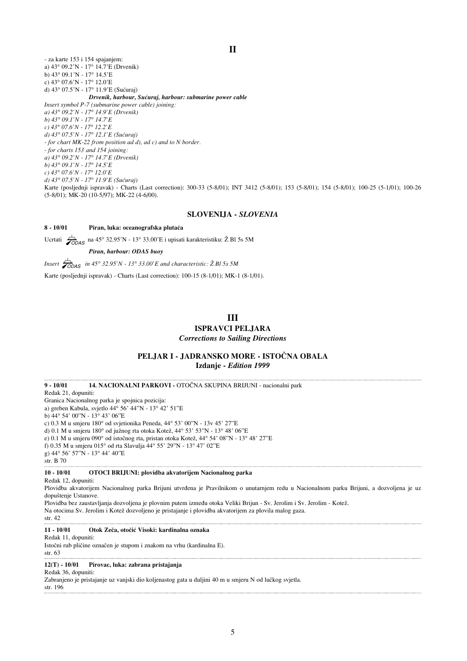- za karte 153 i 154 spajanjem: a) 43° 09.2'N - 17° 14.7'E (Drvenik) b) 43° 09.1'N - 17° 14.5'E c) 43° 07.6'N - 17° 12.0'E d) 43° 07.5'N - 17° 11.9'E (Sućuraj) *Drvenik, harbour, SuÊuraj, harbour: submarine power cable Insert symbol P-7 (submarine power cable) joining: a) 43° 09.2'N - 17° 14.9'E (Drvenik) b) 43° 09.1'N - 17° 14.7'E c) 43° 07.6'N - 17° 12.2'E d) 43° 07.5'N - 17° 12.1'E (SuÊuraj) - for chart MK-22 from position ad d), ad c) and to N border. - for charts 153 and 154 joining: a) 43° 09.2'N - 17° 14.7'E (Drvenik) b) 43° 09.1'N - 17° 14.5'E c) 43° 07.6'N - 17° 12.0'E d) 43° 07.5'N - 17° 11.9'E (SuÊuraj)* Karte (posljednji ispravak) - Charts (Last correction): 300-33 (5-8/01); INT 3412 (5-8/01); 153 (5-8/01); 154 (5-8/01); 100-25 (5-1/01); 100-26 (5-8/01); MK-20 (10-5/97); MK-22 (4-6/00).

#### **SLOVENIJA -** *SLOVENIA*

#### **8 - 10/01 Piran, luka: oceanografska plutaËa**

Ucrtati  $\overbrace{70DAS}$  na 45° 32.95'N - 13° 33.00'E i upisati karakteristiku: Ž Bl 5s 5M

*Piran, harbour: ODAS buoy*

*Insert*  $\overline{\smash{\big)}_{\text{ODAS}}}$  *in 45° 32.95'N - 13° 33.00'E and characteristic:*  $\overline{\text{Z}}$  *Bl 5s 5M* 

Karte (posljednji ispravak) - Charts (Last correction): 100-15 (8-1/01); MK-1 (8-1/01).

## **III**

## **ISPRAVCI PELJARA**

*Corrections to Sailing Directions*

### PELJAR I - JADRANSKO MORE - ISTOČNA OBALA **Izdanje -** *Edition 1999*

9 - 10/01 14. NACIONALNI PARKOVI - OTOČNA SKUPINA BRIJUNI - nacionalni park Redak 21, dopuniti: Granica Nacionalnog parka je spojnica pozicija: a) greben Kabula, svjetlo 44° 56' 44"N - 13° 42' 51"E b) 44° 54' 00"N - 13° 43' 06"E c) 0.3 M u smjeru 180° od svjetionika Peneda, 44° 53' 00"N - 13v 45' 27"E d) 0.1 M u smjeru 180° od južnog rta otoka Kotež, 44° 53' 53'<br/>'N - 13° 48' 06'<br>'E e) 0.1 M u smjeru 090° od istočnog rta, pristan otoka Kotež, 44° 54' 08"N - 13° 48' 27"E f) 0.35 M u smjeru 015° od rta Slavulja 44° 55' 29"N - 13° 47' 02"E g) 44° 56' 57"N - 13° 44' 40"E str. B 70

#### **10 - 10/01 OTOCI BRIJUNI: plovidba akvatorijem Nacionalnog parka**

Redak 12, dopuniti:

Plovidba akvatorijem Nacionalnog parka Brijuni utvrđena je Pravilnikom o unutarnjem redu u Nacionalnom parku Brijuni, a dozvoljena je uz dopuštenje Ustanove.

Plovidba bez zaustavljanja dozvoljena je plovnim putem između otoka Veliki Brijun - Sv. Jerolim i Sv. Jerolim - Kotež.

Na otocima Sv. Jerolim i Kotež dozvoljeno je pristajanje i plovidba akvatorijem za plovila malog gaza.

str. 42

#### **11 - 10/01 Otok ZeËa, otoËiÊ Visoki: kardinalna oznaka**

Redak 11, dopuniti:

IstoËni rub pliËine oznaËen je stupom i znakom na vrhu (kardinalna E). str. 63

#### **12(T) - 10/01 Pirovac, luka: zabrana pristajanja**

Redak 36, dopuniti:

Zabranjeno je pristajanje uz vanjski dio koljenastog gata u duljini 40 m u smjeru N od luËkog svjetla. str. 196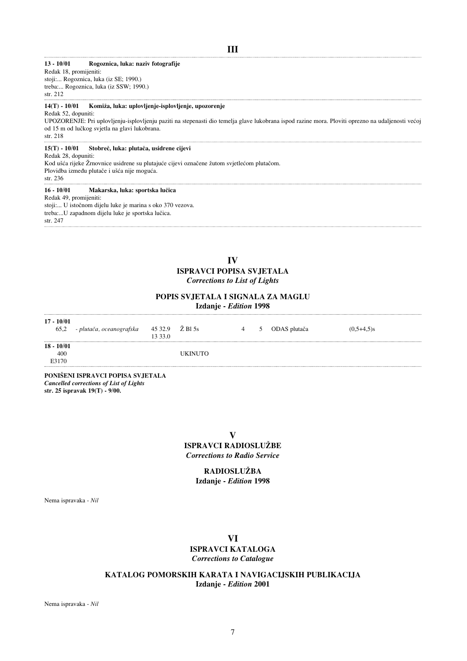## **III**

#### **13 - 10/01 Rogoznica, luka: naziv fotografije**

Redak 18, promijeniti: stoji:... Rogoznica, luka (iz SE; 1990.) treba:... Rogoznica, luka (iz SSW; 1990.) str. 212

#### **14(T) - 10/01 Komiæa, luka: uplovljenje-isplovljenje, upozorenje**

Redak 52, dopuniti:

UPOZORENJE: Pri uplovljenju-isplovljenju paziti na stepenasti dio temelja glave lukobrana ispod razine mora. Ploviti oprezno na udaljenosti veÊoj od 15 m od luËkog svjetla na glavi lukobrana.

str. 218

#### **15(T) - 10/01 StobreË, luka: plutaËa, usidrene cijevi**

Redak 28, dopuniti:

Kod ušća rijeke Žrnovnice usidrene su plutajuće cijevi označene žutom svjetlećom plutačom.

Plovidba između plutače i ušća nije moguća.

## str. 236

**16 - 10/01 Makarska, luka: sportska luËica**

Redak 49, promijeniti:

stoji:... U istoËnom dijelu luke je marina s oko 370 vezova. treba:...U zapadnom dijelu luke je sportska lučica.

str. 247

## **IV ISPRAVCI POPISA SVJETALA** *Corrections to List of Lights*

## **POPIS SVJETALA I SIGNALA ZA MAGLU**

**Izdanje -** *Edition* **1998**

| $17 - 10/01$<br>65,2 | - plutača, oceanografska | 13 33.0 |                | 4 | $\mathcal{D}$ | ODAS plutača | $(0,5+4,5)$ s |
|----------------------|--------------------------|---------|----------------|---|---------------|--------------|---------------|
| $18 - 10/01$         |                          |         |                |   |               |              |               |
| 400                  |                          |         | <b>UKINUTO</b> |   |               |              |               |
| E3170                |                          |         |                |   |               |              |               |

**PONI©ENI ISPRAVCI POPISA SVJETALA** *Cancelled corrections of List of Lights* **str. 25 ispravak 19(T) - 9/00.**

**V**

**ISPRAVCI RADIOSLUÆBE** *Corrections to Radio Service*

## **RADIOSLUÆBA Izdanje -** *Edition* **1998**

Nema ispravaka - *Nil*

## **VI**

### **ISPRAVCI KATALOGA** *Corrections to Catalogue*

**KATALOG POMORSKIH KARATA I NAVIGACIJSKIH PUBLIKACIJA Izdanje -** *Edition* **2001**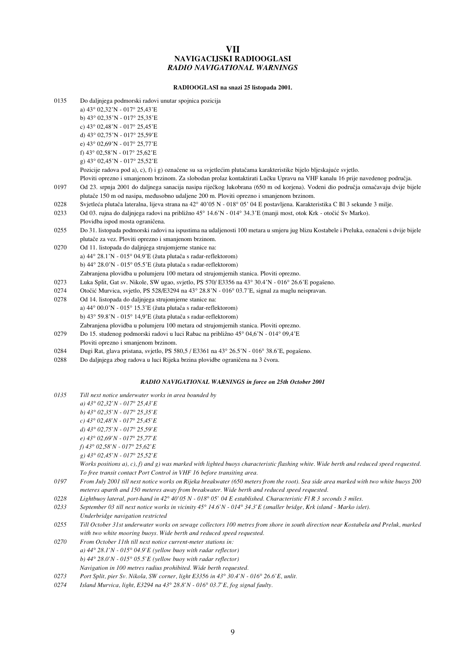## **VII NAVIGACIJSKI RADIOOGLASI** *RADIO NAVIGATIONAL WARNINGS*

#### **RADIOOGLASI na snazi 25 listopada 2001.**

| 0135 | Do daljnjega podmorski radovi unutar spojnica pozicija                                                                                   |
|------|------------------------------------------------------------------------------------------------------------------------------------------|
|      | a) 43° 02,32'N - 017° 25,43'E                                                                                                            |
|      | b) 43° 02,35'N - 017° 25,35'E                                                                                                            |
|      | c) $43^{\circ}$ 02,48'N - 017° 25,45'E                                                                                                   |
|      | d) 43° 02,75'N - 017° 25,59'E                                                                                                            |
|      | e) $43^{\circ}$ 02.69'N - 017° 25.77'E                                                                                                   |
|      | f) 43° 02,58'N - 017° 25,62'E                                                                                                            |
|      | g) 43° 02,45'N - 017° 25,52'E                                                                                                            |
|      | Pozicije radova pod a), c), f) i g) označene su sa svjetlećim plutačama karakteristike bijelo bljeskajuće svjetlo.                       |
|      | Ploviti oprezno i smanjenom brzinom. Za slobodan prolaz kontaktirati Lučku Upravu na VHF kanalu 16 prije navedenog područja.             |
| 0197 | Od 23. srpnja 2001 do daljnega sanacija nasipa riječkog lukobrana (650 m od korjena). Vodeni dio područja označavaju dvije bijele        |
|      | plutače 150 m od nasipa, međusobno udaljene 200 m. Ploviti oprezno i smanjenom brzinom.                                                  |
| 0228 | Svjetleća plutača lateralna, lijeva strana na 42° 40'05 N - 018° 05' 04 E postavljena. Karakteristika C Bl 3 sekunde 3 milje.            |
| 0233 | Od 03. rujna do daljnjega radovi na približno 45° 14.6'N - 014° 34.3'E (manji most, otok Krk - otočić Sv Marko).                         |
|      | Plovidba ispod mosta ograničena.                                                                                                         |
| 0255 | Do 31. listopada podmorski radovi na ispustima na udaljenosti 100 metara u smjeru jug blizu Kostabele i Preluka, označeni s dvije bijele |
|      | plutače za vez. Ploviti oprezno i smanjenom brzinom.                                                                                     |
| 0270 | Od 11. listopada do daljnjega strujomjerne stanice na:                                                                                   |
|      | a) $44^{\circ}$ 28.1'N - 015° 04.9'E (žuta plutača s radar-reflektorom)                                                                  |
|      | b) $44^{\circ}$ 28.0'N - 015° 05.5'E (žuta plutača s radar-reflektorom)                                                                  |
|      | Zabranjena plovidba u polumjeru 100 metara od strujomjernih stanica. Ploviti oprezno.                                                    |
| 0273 | Luka Split, Gat sv. Nikole, SW ugao, svjetlo, PS 570/ E3356 na 43° 30.4'N - 016° 26.6'E pogašeno.                                        |
| 0274 | Otočić Murvica, svjetlo, PS 528/E3294 na 43° 28.8'N - 016° 03.7'E, signal za maglu neispravan.                                           |
| 0278 | Od 14. listopada do daljnjega strujomjerne stanice na:                                                                                   |
|      | a) $44^{\circ}$ 00.0'N - 015° 15.3'E (žuta plutača s radar-reflektorom)                                                                  |
|      | b) $43^{\circ}$ 59.8'N - 015° 14,9'E (žuta plutača s radar-reflektorom)                                                                  |
|      | Zabranjena plovidba u polumjeru 100 metara od strujomjernih stanica. Ploviti oprezno.                                                    |
| 0279 | Do 15. studenog podmorski radovi u luci Rabac na približno 45° 04,6'N - 014° 09,4'E                                                      |
|      | Ploviti oprezno i smanjenom brzinom.                                                                                                     |
|      |                                                                                                                                          |

- 0284 Dugi Rat, glava pristana, svjetlo, PS 580,5 / E3361 na 43° 26.5'N 016° 38.6'E, pogašeno.
- 0288 Do daljnjega zbog radova u luci Rijeka brzina plovidbe ograničena na 3 čvora.

### *RADIO NAVIGATIONAL WARNINGS in force on 25th October 2001*

| 0135 | Till next notice underwater works in area bounded by                                                                                    |
|------|-----------------------------------------------------------------------------------------------------------------------------------------|
|      | a) $43^{\circ}$ 02,32'N - 017° 25,43'E                                                                                                  |
|      | b) $43^{\circ}$ 02.35'N - 017 $^{\circ}$ 25.35'E                                                                                        |
|      | c) $43^{\circ}$ 02,48'N - 017 $^{\circ}$ 25,45'E                                                                                        |
|      | d) $43^{\circ}$ 02,75'N - 017° 25,59'E                                                                                                  |
|      | e) $43^{\circ}$ 02.69'N - 017° 25.77'E                                                                                                  |
|      | f) $43^{\circ}$ 02,58'N - 017 $^{\circ}$ 25,62'E                                                                                        |
|      | g) $43^{\circ}$ 02,45'N - 017° 25,52'E                                                                                                  |
|      | Works positions a), c), f) and g) was marked with lighted buoys characteristic flashing white. Wide berth and reduced speed requested.  |
|      | To free transit contact Port Control in VHF 16 before transiting area.                                                                  |
| 0197 | From July 2001 till next notice works on Rijeka breakwater (650 meters from the root). Sea side area marked with two white buoys 200    |
|      | meteres aparth and 150 meteres away from breakwater. Wide berth and reduced speed requested.                                            |
| 0228 | Lightbuoy lateral, port-hand in 42° 40' 05 N - 018° 05' 04 E established. Characteristic Fl R 3 seconds 3 miles.                        |
| 0233 | September 03 till next notice works in vicinity $45^{\circ}$ 14.6'N - 014 $^{\circ}$ 34.3'E (smaller bridge, Krk island - Marko islet). |
|      | Underbridge navigation restricted                                                                                                       |
| 0255 | Till October 31st underwater works on sewage collectors 100 metres from shore in south direction near Kostabela and Preluk, marked      |
|      | with two white mooring buoys. Wide berth and reduced speed requested.                                                                   |
| 0270 | From October 11th till next notice current-meter stations in:                                                                           |
|      | a) $44^{\circ}$ 28.1'N - 015° 04.9'E (yellow buoy with radar reflector)                                                                 |
|      | b) $44^{\circ}$ 28.0'N - 015° 05.5'E (yellow buoy with radar reflector)                                                                 |
|      |                                                                                                                                         |

*Navigation in 100 metres radius prohibited. Wide berth requested.*

*0274 Island Murvica, light, E3294 na 43° 28.8'N - 016° 03.7'E, fog signal faulty.*

*<sup>0273</sup> Port Split, pier Sv. Nikola, SW corner, light E3356 in 43° 30.4'N - 016° 26.6'E, unlit.*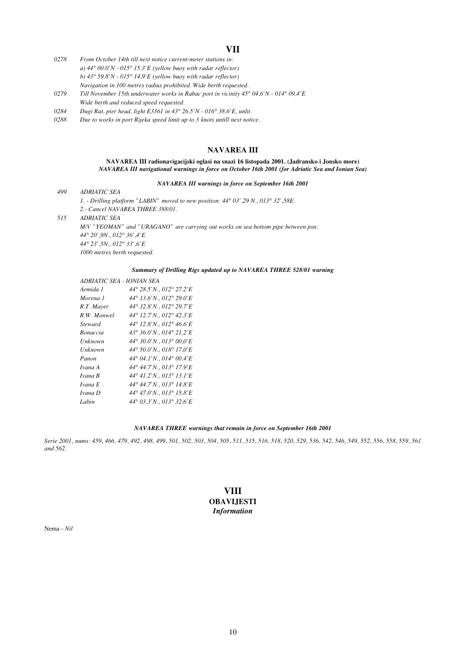## **VII**

- *0278 From October 14th till next notice current-meter stations in: a) 44° 00.0'N - 015° 15.3'E (yellow buoy with radar reflector) b) 43° 59.8'N - 015° 14,9'E (yellow buoy with radar reflector) Navigation in 100 metres radius prohibited. Wide berth requested.*
- *0279 Till November 15th underwater works in Rabac port in vicinity 45° 04,6'N 014° 09,4'E Wide berth and reduced speed requested.*
- *0284 Dugi Rat, pier head, light E3361 in 43° 26.5'N 016° 38.6'E, unlit.*
- *0288 Due to works in port Rijeka speed limit up to 3 knots untill next notice.*

## **NAVAREA III**

#### **NAVAREA III radionavigacijski oglasi na snazi 16 listopada 2001. (Jadransko i Jonsko more)** *NAVAREA III navigational warnings in force on October 16th 2001 (for Adriatic Sea and Ionian Sea)*

#### *NAVAREA III warnings in force on September 16th 2001*

#### *499 ADRIATIC SEA*

*1. - Drilling platform "LABIN" moved to new position: 44° 03',29 N., 013° 32',58E. 2.- Cancel NAVAREA THREE 388/01.*

#### *515 ADRIATIC SEA*

*M/V "YEOMAN" and "URAGANO" are carrying out works on sea bottom pipe between psn: 44° 20',9N., 012° 36',4'E 44° 23',5N., 012° 33',6'E 1000 metres berth requested.*

#### *Summary of Drilling Rigs updated up to NAVAREA THREE 528/01 warning*

| ADRIATIC SEA - IONIAN SEA |                          |
|---------------------------|--------------------------|
| Armida 1                  | 44° 28.5'N., 012° 27.2'E |
| Morena 1                  | 44° 13.6'N., 012° 29.0'E |
| R.T. Mayer                | 44° 32.8'N., 012° 29.7'E |
| R.W. Monwel               | 44° 12.7'N., 012° 42.3'E |
| Steward                   | 44° 12.8'N., 012° 46.6'E |
| <b>Bonaccia</b>           | 43° 36.0'N., 014° 21.2'E |
| Unknown                   | 44° 30.0'N., 013° 00.0'E |
| Unknown                   | 44° 50.0'N., 018° 17.0'E |
| Panon                     | 44° 04.1'N., 014° 00.4'E |
| Ivana A                   | 44° 44.7'N., 013° 17.9'E |
| Ivana B                   | 44° 41.2'N., 013° 13.1'E |
| Ivana E                   | 44° 44.7'N., 013° 14.8'E |
| Ivana D                   | 44° 47.0'N., 013° 15.8'E |
| Labin                     | 44° 03.3'N., 013° 32.6'E |

#### *NAVAREA THREE warnings that remain in force on September 16th 2001*

*Serie 2001, nums: 459, 466, 479, 492, 498, 499, 501, 502, 503, 504, 505, 511, 515, 516, 518, 520, 529, 536, 542, 546, 549, 552, 556, 558, 559, 561 and 562.*

## **VIII OBAVIJESTI** *Information*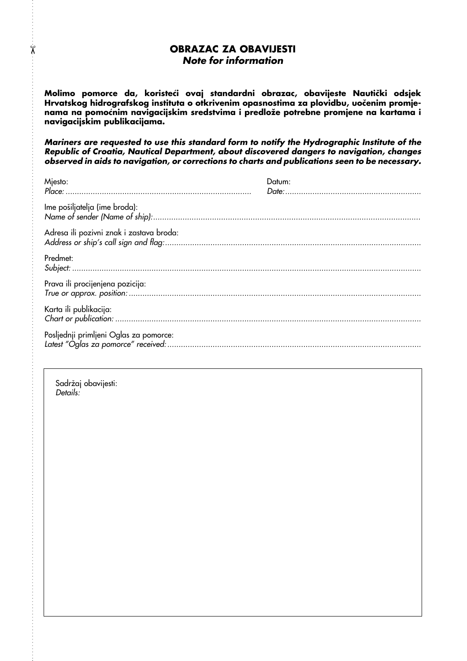## OBRAZAC ZA OBAVIJESTI Note for information

Molimo pomorce da, koristeći ovaj standardni obrazac, obavijeste Nautički odsjek Hrvatskog hidrografskog instituta o otkrivenim opasnostima za plovidbu, uočenim promjenama na pomoćnim navigacijskim sredstvima i predlože potrebne promjene na kartama i navigacijskim publikacijama.

Mariners are requested to use this standard form to notify the Hydrographic Institute of the Republic of Croatia, Nautical Department, about discovered dangers to navigation, changes observed in aids to navigation, or corrections to charts and publications seen to be necessary.

| Mjesto:                                  | Datum: |
|------------------------------------------|--------|
| Ime pošiljatelja (ime broda):            |        |
| Adresa ili pozivni znak i zastava broda: |        |
| Predmet:                                 |        |
| Prava ili procijenjena pozicija:         |        |
| Karta ili publikacija:                   |        |
| Posljednji primljeni Oglas za pomorce:   |        |

Sadržaj obavijesti: Details:

 $\chi$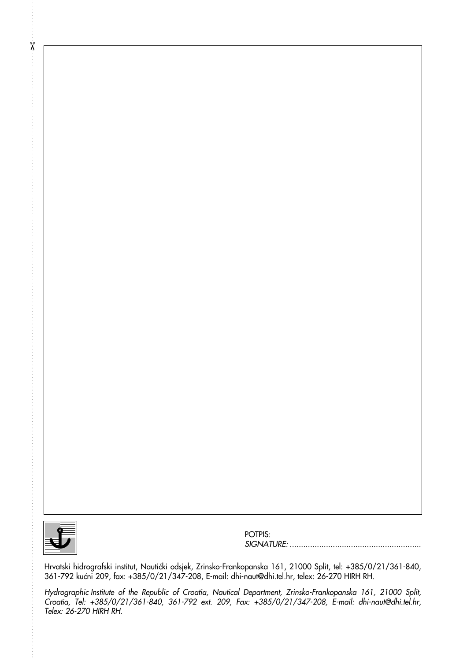

 $\begin{array}{ll} \mathcal{R} & \text{if} & \text{if} & \text{if} & \text{if} & \text{if} & \text{if} & \text{if} & \text{if} & \text{if} & \text{if} & \text{if} & \text{if} & \text{if} & \text{if} & \text{if} & \text{if} & \text{if} & \text{if} & \text{if} & \text{if} & \text{if} & \text{if} & \text{if} & \text{if} & \text{if} & \text{if} & \text{if} & \text{if} & \text{if} & \text{if} & \text{if} & \text{if} & \text{if} & \text{if} & \text$ 

POTPIS: SIGNATURE: ..........................................................

Hrvatski hidrografski institut, Nautički odsjek, Zrinsko-Frankopanska 161, 21000 Split, tel: +385/0/21/361-840, 361-792 kućni 209, fax: +385/0/21/347-208, E-mail: dhi-naut@dhi.tel.hr, telex: 26-270 HIRH RH.

Hydrographic Institute of the Republic of Croatia, Nautical Department, Zrinsko-Frankopanska 161, 21000 Split, Croatia, Tel: +385/0/21/361-840, 361-792 ext. 209, Fax: +385/0/21/347-208, E-mail: dhi-naut@dhi.tel.hr, Telex: 26-270 HIRH RH.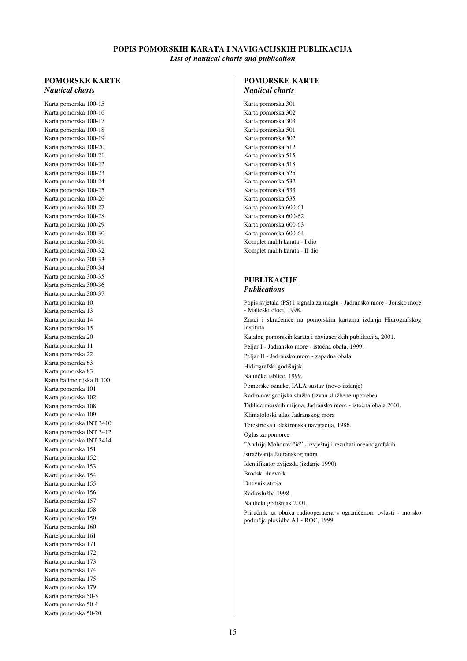## **POPIS POMORSKIH KARATA I NAVIGACIJSKIH PUBLIKACIJA**

*List of nautical charts and publication*

### **POMORSKE KARTE** *Nautical charts*

Karta pomorska 100-15 Karta pomorska 100-16 Karta pomorska 100-17 Karta pomorska 100-18 Karta pomorska 100-19 Karta pomorska 100-20 Karta pomorska 100-21 Karta pomorska 100-22 Karta pomorska 100-23 Karta pomorska 100-24 Karta pomorska 100-25 Karta pomorska 100-26 Karta pomorska 100-27 Karta pomorska 100-28 Karta pomorska 100-29 Karta pomorska 100-30 Karta pomorska 300-31 Karta pomorska 300-32 Karta pomorska 300-33 Karta pomorska 300-34 Karta pomorska 300-35 Karta pomorska 300-36 Karta pomorska 300-37 Karta pomorska 10 Karta pomorska 13 Karta pomorska 14 Karta pomorska 15 Karta pomorska 20 Karta pomorska 11 Karta pomorska 22 Karta pomorska 63 Karta pomorska 83 Karta batimetrijska B 100 Karta pomorska 101 Karta pomorska 102 Karta pomorska 108 Karta pomorska 109 Karta pomorska INT 3410 Karta pomorska INT 3412 Karta pomorska INT 3414 Karta pomorska 151 Karta pomorska 152 Karta pomorska 153 Karte pomorske 154 Karta pomorska 155 Karta pomorska 156 Karta pomorska 157 Karta pomorska 158 Karta pomorska 159 Karta pomorska 160 Karte pomorska 161 Karta pomorska 171 Karta pomorska 172 Karta pomorska 173 Karta pomorska 174 Karta pomorska 175 Karta pomorska 179 Karta pomorska 50-3 Karta pomorska 50-4 Karta pomorska 50-20

#### **POMORSKE KARTE** *Nautical charts*

Karta pomorska 301 Karta pomorska 302 Karta pomorska 303 Karta pomorska 501 Karta pomorska 502 Karta pomorska 512 Karta pomorska 515 Karta pomorska 518 Karta pomorska 525 Karta pomorska 532 Karta pomorska 533 Karta pomorska 535 Karta pomorska 600-61 Karta pomorska 600-62 Karta pomorska 600-63 Karta pomorska 600-64 Komplet malih karata - I dio Komplet malih karata - II dio

## **PUBLIKACIJE** *Publications*

Popis svjetala (PS) i signala za maglu - Jadransko more - Jonsko more - Malteški otoci, 1998. Znaci i skraćenice na pomorskim kartama izdanja Hidrografskog instituta Katalog pomorskih karata i navigacijskih publikacija, 2001. Peljar I - Jadransko more - istoËna obala, 1999. Peljar II - Jadransko more - zapadna obala Hidrografski godišnjak NautiËke tablice, 1999. Pomorske oznake, IALA sustav (novo izdanje) Radio-navigacijska služba (izvan službene upotrebe) Tablice morskih mijena, Jadransko more - istoËna obala 2001. Klimatološki atlas Jadranskog mora TerestriËka i elektronska navigacija, 1986. Oglas za pomorce "Andrija Mohorovičić" - izvještaj i rezultati oceanografskih istraživanja Jadranskog mora Identifikator zvijezda (izdanje 1990) Brodski dnevnik Dnevnik stroja Radioslužba 1998. Nautički godišnjak 2001. Priručnik za obuku radiooperatera s ograničenom ovlasti - morsko podruËje plovidbe A1 - ROC, 1999.